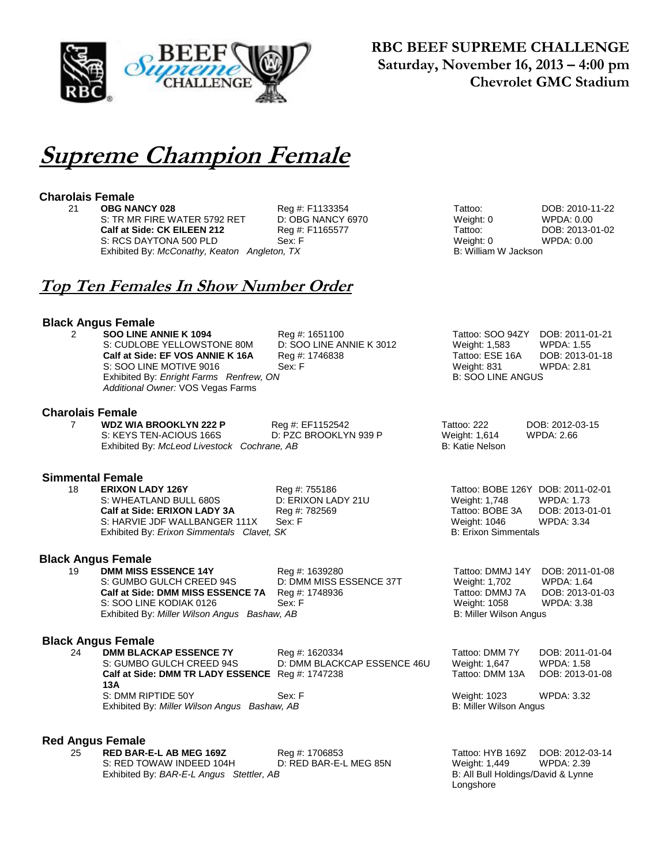

### **RBC BEEF SUPREME CHALLENGE Saturday, November 16, 2013 – 4:00 pm Chevrolet GMC Stadium**

# **Supreme Champion Female**

**Charolais Female**

### 21 **OBG NANCY 028** Reg #: F1133354 Tattoo: DOB: 2010-11-22<br>
21 S: TR MR FIRE WATER 5792 RET D: OBG NANCY 6970 DETA Weight: 0 WPDA: 0.00 S: TR MR FIRE WATER 5792 RET D: OBG NANCY 6970 Weight: 0 WPDA: 0.00 **Calf at Side: CK EILEEN 212** Reg #: F1165577 Tattoo: DOB: 2013-01-02 S: RCS DAYTONA 500 PLD Sex: F Sex: F Weight: 0 Weight: 0 WPDA: 0.00 Sex: F Sex: F Weight: 0 WPDA: 0.00 Sex: F Sex: P Exhibited By: McConathy, Keaton Angleton, TX **Top Ten Females In Show Number Order Black Angus Female 2 SOO LINE ANNIE K 1094** Reg #: 1651100 Tattoo: SOO 94ZY DOB: 2011-01-21<br>
S: CUDLOBE YELLOWSTONE 80M D: SOO LINE ANNIE K 3012 Weight: 1,583 WPDA: 1.55 S: CUDLOBE YELLOWSTONE 80M D: SOO LINE ANNIE K 3012 Weight: 1,583 WPDA: 1.55<br>
Calf at Side: EF VOS ANNIE K 16A Reg #: 1746838 Tattoo: ESE 16A DOB: 2013-01-18 **Calf at Side: EF VOS ANNIE K 16A** Reg #: 1746838 Tattoo: ESE 16A DOB: 2013-0<br>S: SOO LINE MOTIVE 9016 Sex: F Sex: F Weight: 831 WPDA: 2.81 S: SOO LINE MOTIVE 9016 Sex: F Weight: 831 Weight: 831 WEIGHT WAS Exhibited By: *Enright Farms Renfrew*, *ON* B: 200 LINE ANGUS Exhibited By: Enright Farms Renfrew, ON *Additional Owner:* VOS Vegas Farms **Charolais Female** 7 **WDZ WIA BROOKLYN 222 P** Reg #: EF1152542 Tattoo: 222 DOB: 2012-03-15 S: KEYS TEN-ACIOUS 166S D: PZC BROOKLYN 939 P Weight: 1,614 WPDA: 2.66 Exhibited By: *McLeod Livestock Cochrane, AB* B: Katie Nelson **Simmental Female** 18 **ERIXON LADY 126Y** Reg #: 755186 Tattoo: BOBE 126Y DOB: 2011-02-01 S: WHEATLAND BULL 680S D: ERIXON LADY 21U Weight: 1,748 WPDA: 1.73 **Calf at Side: ERIXON LADY 3A** Reg #: 782569 Tattoo: BOBE 3A DOB: 2013-01-01 S: HARVIE JDF WALLBANGER 111X Sex: F Weight: 1046 WPDA: 3.34 Exhibited By: *Erixon Simmentals Clavet, SK* B: Erixon Simmentals Clavet, SK **Black Angus Female**<br>19 DMM MISS ESSENCE 14Y 19 **DMM MISS ESSENCE 14Y** Reg #: 1639280 Tattoo: DMMJ 14Y DOB: 2011-01-08<br>S: GUMBO GULCH CREED 94S D: DMM MISS ESSENCE 37T Weight: 1,702 WPDA: 1.64 S: GUMBO GULCH CREED 94S D: DMM MISS ESSENCE 37T Weight: 1,702 WPDA: 1.64<br>
Calf at Side: DMM MISS ESSENCE 7A Req #: 1748936 Tattoo: DMMJ 7A DOB: 2013-01-03 **Calf at Side: DMM MISS ESSENCE 7A** Reg #: 1748936 Tattoo: DMMJ 7A DOB: 2013-0<br>S: SOO LINE KODIAK 0126 Sex: F Weight: 1058 WPDA: 3.38 S: SOO LINE KODIAK 0126 Sex: F Weight: 1058 Exhibited By: *Miller Wilson Angus Bashaw, AB* B: Miller Wilson Angus B: Miller Wilson Angus **Black Angus Female** 24 **DMM BLACKAP ESSENCE 7Y** Reg #: 1620334 Tattoo: DMM 7Y DOB: 2011-01-04 S: GUMBO GULCH CREED 94S D: DMM BLACKCAP ESSENCE 46U Weight: 1,647 WPDA: 1.58 **Calf at Side: DMM TR LADY ESSENCE 13A** Tattoo: DMM 13A DOB: 2013-01-08 S: DMM RIPTIDE 50Y Sex: F Weight: 1023 WPDA: 3.32 Exhibited By: *Miller Wilson Angus Bashaw, AB* B: Miller Wilson Angus B: Miller Wilson Angus **Red Angus Female** 25 **RED BAR-E-L AB MEG 169Z** Reg #: 1706853 Tattoo: HYB 169Z DOB: 2012-03-14

S: RED TOWAW INDEED 104H D: RED BAR-E-L MEG 85N Weight: 1,449 WPDA: 2.39<br>Exhibited By: BAR-E-L Angus Stettler, AB Station B: All Bull Holdings/David & Lynne Exhibited By: BAR-E-L Angus Stettler, AB

Longshore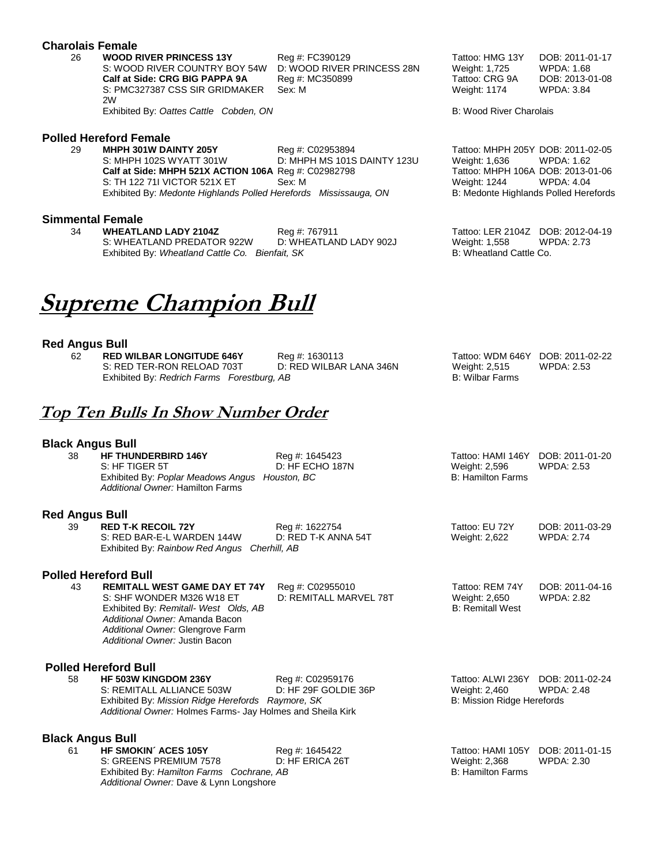#### **Charolais Female**

26 **WOOD RIVER PRINCESS 13Y** Reg #: FC390129 Tattoo: HMG 13Y DOB: 2011-01-17 S: WOOD RIVER COUNTRY BOY 54W D: WOOD RIVER PRINCESS 28N Weight: 1,725 WPDA: 1.68<br> **Calf at Side: CRG BIG PAPPA 9A** Reg #: MC350899 Tattoo: CRG 9A DOB: 2013-01-08 **Calf at Side: CRG BIG PAPPA 9A** Reg #: MC350899 Tattoo: CRG 9A S: PMC327387 CSS SIR GRIDMAKER 2W Exhibited By: Oattes Cattle Cobden, ON B: Wood River Charolais

# **Polled Hereford Female**

29 **MHPH 301W DAINTY 205Y** Reg #: C02953894 Tattoo: MHPH 205Y DOB: 2011-02-05 **Calf at Side: MHPH 521X ACTION 106A** Reg #: C02982798 Tattoo: MHPH 106A DOB: 2013-0<br>S: TH 122 71I VICTOR 521X ET Sex: M Sex: M Weight: 1244 WPDA: 4.04 S: TH 122 71I VICTOR 521X ET Sex: M Sex: M Weight: 1244 Exhibited By: *Medonte Highlands Polled Herefords Mississauga, ON* B: Medonte Highlands Polled Herefords

#### **Simmental Female**

34 **WHEATLAND LADY 2104Z** Reg #: 767911 Tattoo: LER 2104Z DOB: 2012-04-19<br>S: WHEATLAND PREDATOR 922W D: WHEATLAND LADY 902J Weight: 1.558 WPDA: 2.73 S: WHEATLAND PREDATOR 922W D: WHEATLAND LADY 902J Weight: 1,558 WPDA: 2.73 Exhibited By: *Wheatland Cattle Co. Bienfait, SK* B: Wheatland Cattle Co.

# **Supreme Champion Bull**

#### **Red Angus Bull**

62 **RED WILBAR LONGITUDE 646Y** Reg #: 1630113 Tattoo: WDM 646Y DOB: 2011-02-22 Exhibited By: *Redrich Farms Forestburg, AB* 

S: RED TER-RON RELOAD 703T D: RED WILBAR LANA 346N Weight: 2,515<br>Exhibited By: Redrich Farms Forestburg, AB CRIT MESS Wilbar Farms

## **Top Ten Bulls In Show Number Order**

#### **Black Angus Bull**

38 **HF THUNDERBIRD 146Y** Reg #: 1645423 Tattoo: HAMI 146Y DOB: 2011-01-20 S: HF TIGER 5T D: HF ECHO 187N Weight: 2,596 WPDA: 2.53 Exhibited By: *Poplar Meadows Angus Houston, BC* B: Hamilton Farms B: Hamilton Farms *Additional Owner:* Hamilton Farms

#### **Red Angus Bull**

| <b>RED T-K RECOIL 72Y</b>                    | Reg #: 1622754      | Tattoo: EU 72Y | DOB: 2011-03-29   |
|----------------------------------------------|---------------------|----------------|-------------------|
| S: RED BAR-E-L WARDEN 144W                   | D: RED T-K ANNA 54T | Weight: 2,622  | <b>WPDA: 2.74</b> |
| Exhibited By: Rainbow Red Angus Cherhill, AB |                     |                |                   |

#### **Polled Hereford Bull**

43 **REMITALL WEST GAME DAY ET 74Y** Reg #: C02955010 Tattoo: REM 74Y DOB: 2011-04-16 S: SHF WONDER M326 W18 ET D: REMITALL MARVEL 78T Weight: 2,650 WPDA: 2.82 Exhibited By: *Remitall- West Olds, AB* B: Remitall West Order, 1997 *Additional Owner:* Amanda Bacon *Additional Owner:* Glengrove Farm *Additional Owner:* Justin Bacon

## **Polled Hereford Bull<br>58 HE 503W KINGDOM 236Y**

58 **HF 503W KINGDOM 236Y** Reg #: C02959176 Tattoo: ALWI 236Y DOB: 2011-02-24<br>S: REMITALL ALLIANCE 503W D: HF 29F GOLDIE 36P Weight: 2,460 WPDA: 2.48 S: REMITALL ALLIANCE 503W D: HF 29F GOLDIE 36P Weight: 2,460 Exhibited By: *Mission Ridge Herefords Raymore, SK* B: Mission Ridge Herefords *Additional Owner:* Holmes Farms- Jay Holmes and Sheila Kirk

**Black Angus Bull**<br>61 HF SMOKIN' ACES 105Y S: GREENS PREMIUM 7578 D: HF ERICA 26T Weight: 2,368 WPDA: 2.30 Exhibited By: *Hamilton Farms Cochrane, AB* B: Hamilton Farms **B: Hamilton Farms** *Additional Owner:* Dave & Lynn Longshore

Sex: M Weight: 1174 WPDA: 3.84

D: MHPH MS 101S DAINTY 123U Weight: 1,636 WPDA: 1.62<br>Reg #: C02982798 Tattoo: MHPH 106A DOB: 2013-01-06

Feg #: 1645422 **Tattoo: HAMI 105Y** DOB: 2011-01-15<br>
D: HF ERICA 26T Weight: 2,368 WPDA: 2.30